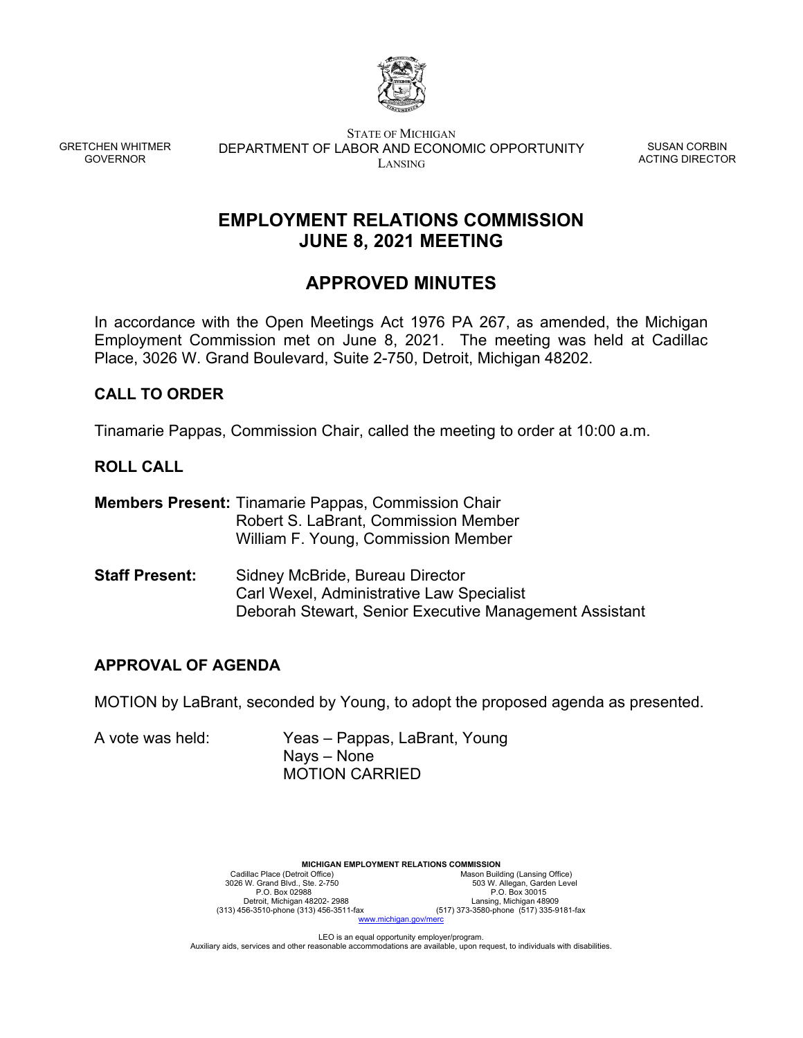

GRETCHEN WHITMER GOVERNOR

STATE OF MICHIGAN DEPARTMENT OF LABOR AND ECONOMIC OPPORTUNITY LANSING

SUSAN CORBIN ACTING DIRECTOR

# **EMPLOYMENT RELATIONS COMMISSION JUNE 8, 2021 MEETING**

# **APPROVED MINUTES**

In accordance with the Open Meetings Act 1976 PA 267, as amended, the Michigan Employment Commission met on June 8, 2021. The meeting was held at Cadillac Place, 3026 W. Grand Boulevard, Suite 2-750, Detroit, Michigan 48202.

## **CALL TO ORDER**

Tinamarie Pappas, Commission Chair, called the meeting to order at 10:00 a.m.

## **ROLL CALL**

|                       | <b>Members Present: Tinamarie Pappas, Commission Chair</b><br>Robert S. LaBrant, Commission Member<br>William F. Young, Commission Member     |
|-----------------------|-----------------------------------------------------------------------------------------------------------------------------------------------|
| <b>Staff Present:</b> | Sidney McBride, Bureau Director<br><b>Carl Wexel, Administrative Law Specialist</b><br>Deborah Stewart, Senior Executive Management Assistant |

## **APPROVAL OF AGENDA**

MOTION by LaBrant, seconded by Young, to adopt the proposed agenda as presented.

A vote was held: Yeas – Pappas, LaBrant, Young Nays – None MOTION CARRIED



LEO is an equal opportunity employer/program. Auxiliary aids, services and other reasonable accommodations are available, upon request, to individuals with disabilities.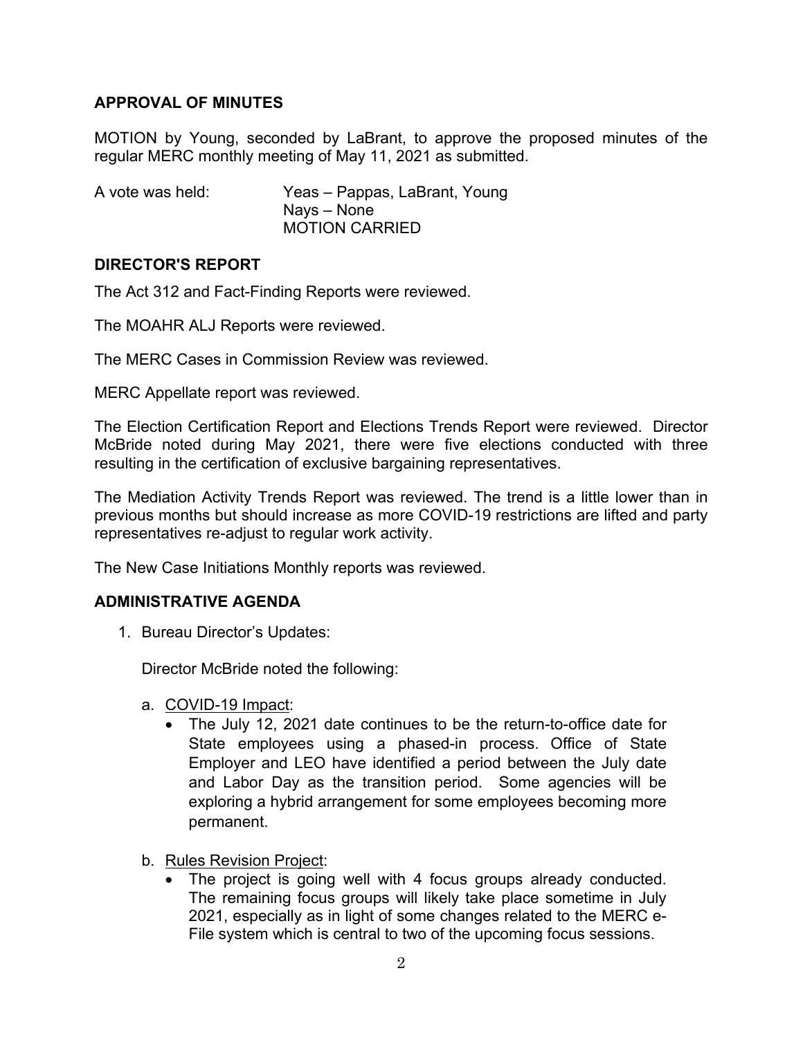# **APPROVAL OF MINUTES**

MOTION by Young, seconded by LaBrant, to approve the proposed minutes of the regular MERC monthly meeting of May 11, 2021 as submitted.

| A vote was held: | Yeas - Pappas, LaBrant, Young |
|------------------|-------------------------------|
|                  | Nays – None                   |
|                  | <b>MOTION CARRIED</b>         |

# **DIRECTOR'S REPORT**

The Act 312 and Fact-Finding Reports were reviewed.

The MOAHR ALJ Reports were reviewed.

The MERC Cases in Commission Review was reviewed.

MERC Appellate report was reviewed.

The Election Certification Report and Elections Trends Report were reviewed. Director McBride noted during May 2021, there were five elections conducted with three resulting in the certification of exclusive bargaining representatives.

The Mediation Activity Trends Report was reviewed. The trend is a little lower than in previous months but should increase as more COVID-19 restrictions are lifted and party representatives re-adjust to regular work activity.

The New Case Initiations Monthly reports was reviewed.

## **ADMINISTRATIVE AGENDA**

1. Bureau Director's Updates:

Director McBride noted the following:

- a. COVID-19 Impact:
	- The July 12, 2021 date continues to be the return-to-office date for State employees using a phased-in process. Office of State Employer and LEO have identified a period between the July date and Labor Day as the transition period. Some agencies will be exploring a hybrid arrangement for some employees becoming more permanent.
- b. Rules Revision Project:
	- The project is going well with 4 focus groups already conducted. The remaining focus groups will likely take place sometime in July 2021, especially as in light of some changes related to the MERC e-File system which is central to two of the upcoming focus sessions.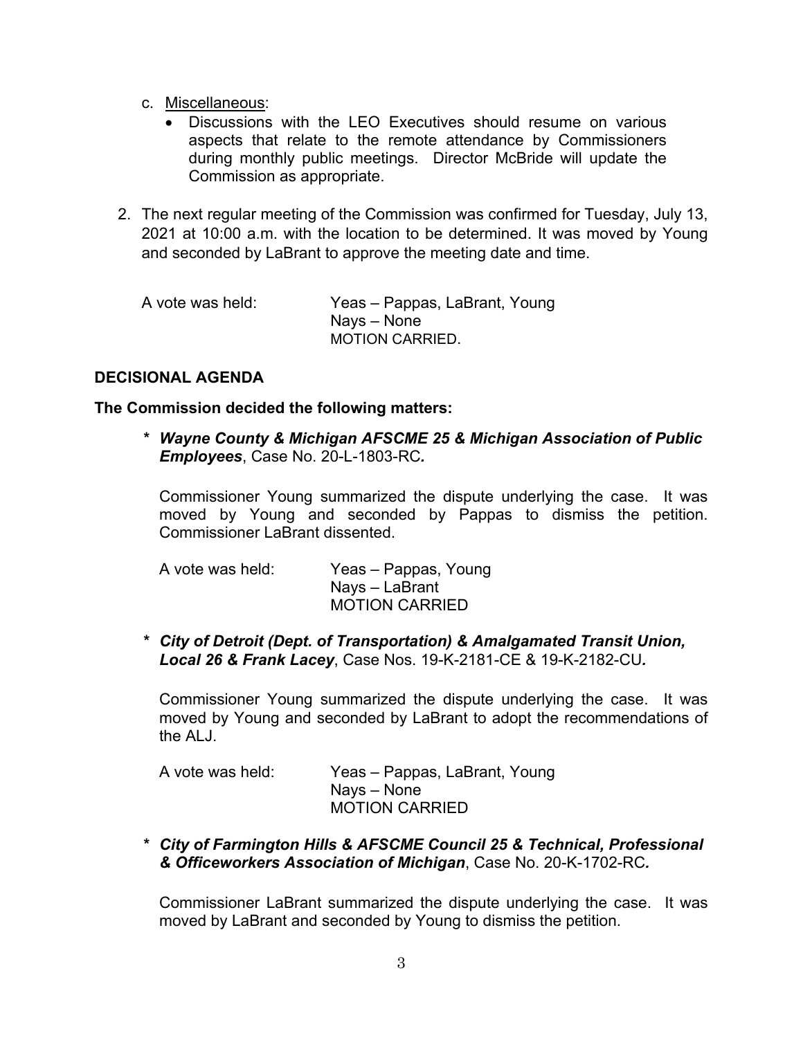- c. Miscellaneous:
	- Discussions with the LEO Executives should resume on various aspects that relate to the remote attendance by Commissioners during monthly public meetings. Director McBride will update the Commission as appropriate.
- 2. The next regular meeting of the Commission was confirmed for Tuesday, July 13, 2021 at 10:00 a.m. with the location to be determined. It was moved by Young and seconded by LaBrant to approve the meeting date and time.

| A vote was held: | Yeas – Pappas, LaBrant, Young |
|------------------|-------------------------------|
|                  | Nays – None                   |
|                  | <b>MOTION CARRIED.</b>        |

## **DECISIONAL AGENDA**

#### **The Commission decided the following matters:**

*\* Wayne County & Michigan AFSCME 25 & Michigan Association of Public Employees*, Case No. 20-L-1803-RC*.* 

Commissioner Young summarized the dispute underlying the case. It was moved by Young and seconded by Pappas to dismiss the petition. Commissioner LaBrant dissented.

| A vote was held: | Yeas – Pappas, Young  |
|------------------|-----------------------|
|                  | Nays – LaBrant        |
|                  | <b>MOTION CARRIED</b> |

*\* City of Detroit (Dept. of Transportation) & Amalgamated Transit Union, Local 26 & Frank Lacey*, Case Nos. 19-K-2181-CE & 19-K-2182-CU*.* 

Commissioner Young summarized the dispute underlying the case. It was moved by Young and seconded by LaBrant to adopt the recommendations of the ALJ.

| A vote was held: | Yeas – Pappas, LaBrant, Young |
|------------------|-------------------------------|
|                  | Nays – None                   |
|                  | <b>MOTION CARRIED</b>         |

*\* City of Farmington Hills & AFSCME Council 25 & Technical, Professional & Officeworkers Association of Michigan*, Case No. 20-K-1702-RC*.* 

Commissioner LaBrant summarized the dispute underlying the case. It was moved by LaBrant and seconded by Young to dismiss the petition.